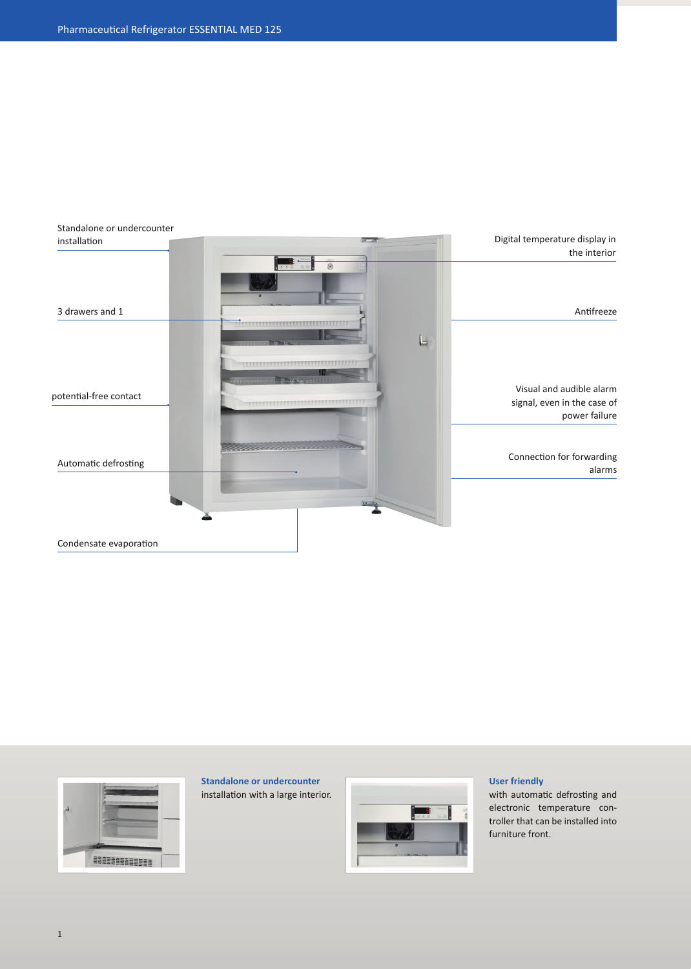



**Standalone or undercounter** installation with a large interior.



## **User friendly**

with automatic defrosting and electronic temperature controller that can be installed into furniture front.